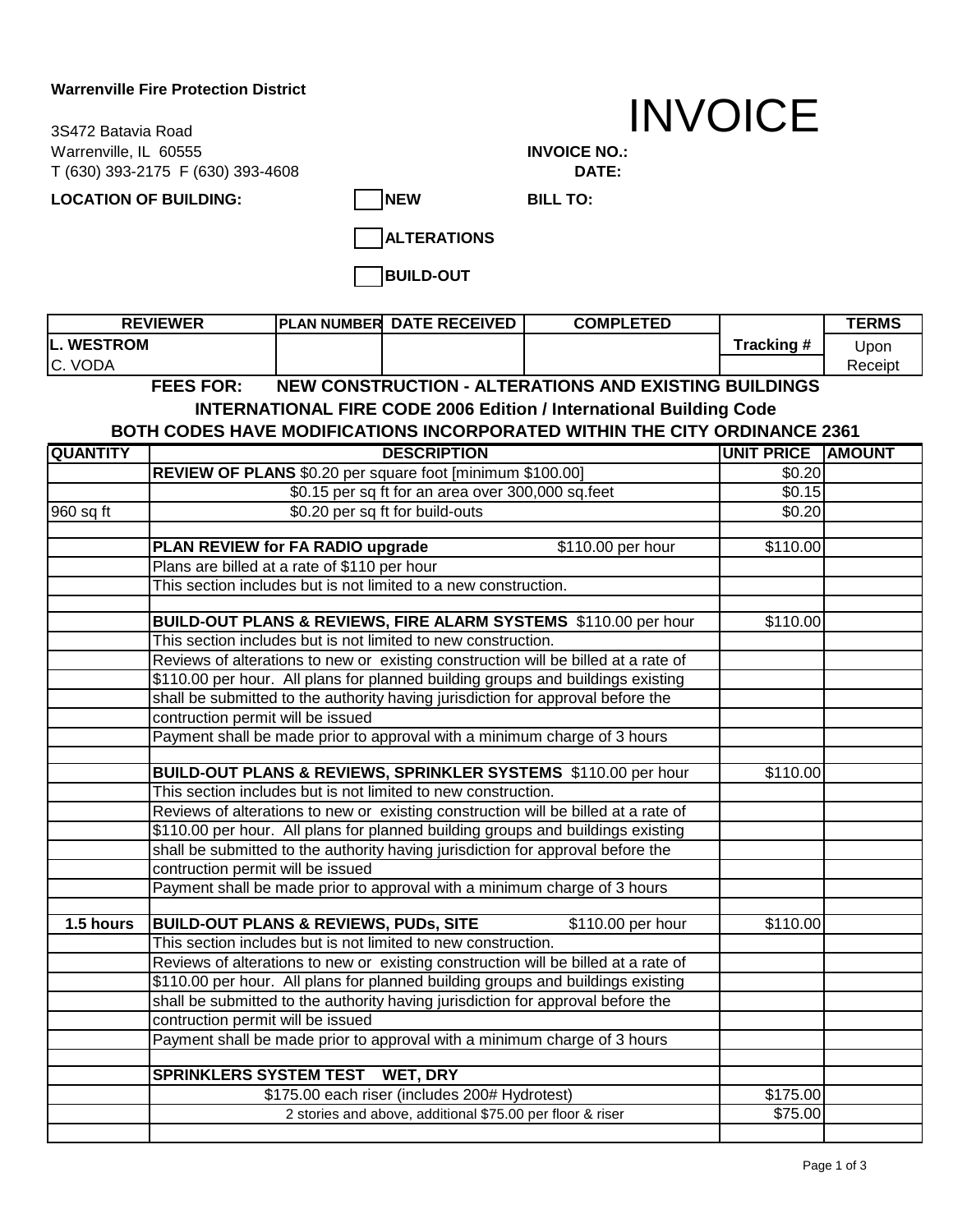## **Warrenville Fire Protection District**

Warrenville, IL 60555 **INVOICE NO.:**  T (630) 393-2175 F (630) 393-4608 **DATE:**  3S472 Batavia Road

## INVOICE

LOCATION OF BUILDING: NEW

**BILL TO:**

**ALTERATIONS**

**BUILD-OUT**

| <b>REVIEWER</b>                                                                  |  | <b>IPLAN NUMBER DATE RECEIVED</b> | <b>COMPLETED</b> |            | <b>TERMS</b> |
|----------------------------------------------------------------------------------|--|-----------------------------------|------------------|------------|--------------|
| <b>IL. WESTROM</b>                                                               |  |                                   |                  | Tracking # | Upon         |
| <b>IC. VODA</b>                                                                  |  |                                   |                  |            | Receipt      |
| <b>FEES FOR:</b><br><b>NEW CONSTRUCTION - ALTERATIONS AND EXISTING BUILDINGS</b> |  |                                   |                  |            |              |

**INTERNATIONAL FIRE CODE 2006 Edition / International Building Code**

## **BOTH CODES HAVE MODIFICATIONS INCORPORATED WITHIN THE CITY ORDINANCE 2361**

| <b>QUANTITY</b> | <b>DESCRIPTION</b>                                                                                                                                                    | <b>UNIT PRICE AMOUNT</b> |  |
|-----------------|-----------------------------------------------------------------------------------------------------------------------------------------------------------------------|--------------------------|--|
|                 | REVIEW OF PLANS \$0.20 per square foot [minimum \$100.00]                                                                                                             | \$0.20                   |  |
|                 | \$0.15 per sq ft for an area over 300,000 sq.feet                                                                                                                     | \$0.15                   |  |
| 960 sq ft       | \$0.20 per sq ft for build-outs                                                                                                                                       | \$0.20                   |  |
|                 |                                                                                                                                                                       |                          |  |
|                 | PLAN REVIEW for FA RADIO upgrade<br>\$110.00 per hour                                                                                                                 | \$110.00                 |  |
|                 | Plans are billed at a rate of \$110 per hour                                                                                                                          |                          |  |
|                 | This section includes but is not limited to a new construction.                                                                                                       |                          |  |
|                 |                                                                                                                                                                       |                          |  |
|                 | BUILD-OUT PLANS & REVIEWS, FIRE ALARM SYSTEMS \$110.00 per hour                                                                                                       | \$110.00                 |  |
|                 | This section includes but is not limited to new construction.                                                                                                         |                          |  |
|                 | Reviews of alterations to new or existing construction will be billed at a rate of                                                                                    |                          |  |
|                 | \$110.00 per hour. All plans for planned building groups and buildings existing                                                                                       |                          |  |
|                 | shall be submitted to the authority having jurisdiction for approval before the                                                                                       |                          |  |
|                 | contruction permit will be issued                                                                                                                                     |                          |  |
|                 | Payment shall be made prior to approval with a minimum charge of 3 hours                                                                                              |                          |  |
|                 |                                                                                                                                                                       |                          |  |
|                 | BUILD-OUT PLANS & REVIEWS, SPRINKLER SYSTEMS \$110.00 per hour<br>This section includes but is not limited to new construction.                                       | \$110.00                 |  |
|                 |                                                                                                                                                                       |                          |  |
|                 | Reviews of alterations to new or existing construction will be billed at a rate of<br>\$110.00 per hour. All plans for planned building groups and buildings existing |                          |  |
|                 |                                                                                                                                                                       |                          |  |
|                 | shall be submitted to the authority having jurisdiction for approval before the<br>contruction permit will be issued                                                  |                          |  |
|                 |                                                                                                                                                                       |                          |  |
|                 | Payment shall be made prior to approval with a minimum charge of 3 hours                                                                                              |                          |  |
| 1.5 hours       | <b>BUILD-OUT PLANS &amp; REVIEWS, PUDS, SITE</b><br>\$110.00 per hour                                                                                                 | \$110.00                 |  |
|                 | This section includes but is not limited to new construction.                                                                                                         |                          |  |
|                 | Reviews of alterations to new or existing construction will be billed at a rate of                                                                                    |                          |  |
|                 | \$110.00 per hour. All plans for planned building groups and buildings existing                                                                                       |                          |  |
|                 | shall be submitted to the authority having jurisdiction for approval before the                                                                                       |                          |  |
|                 | contruction permit will be issued                                                                                                                                     |                          |  |
|                 | Payment shall be made prior to approval with a minimum charge of 3 hours                                                                                              |                          |  |
|                 |                                                                                                                                                                       |                          |  |
|                 | <b>SPRINKLERS SYSTEM TEST</b><br><b>WET, DRY</b>                                                                                                                      |                          |  |
|                 | \$175.00 each riser (includes 200# Hydrotest)                                                                                                                         | \$175.00                 |  |
|                 | 2 stories and above, additional \$75.00 per floor & riser                                                                                                             | \$75.00                  |  |
|                 |                                                                                                                                                                       |                          |  |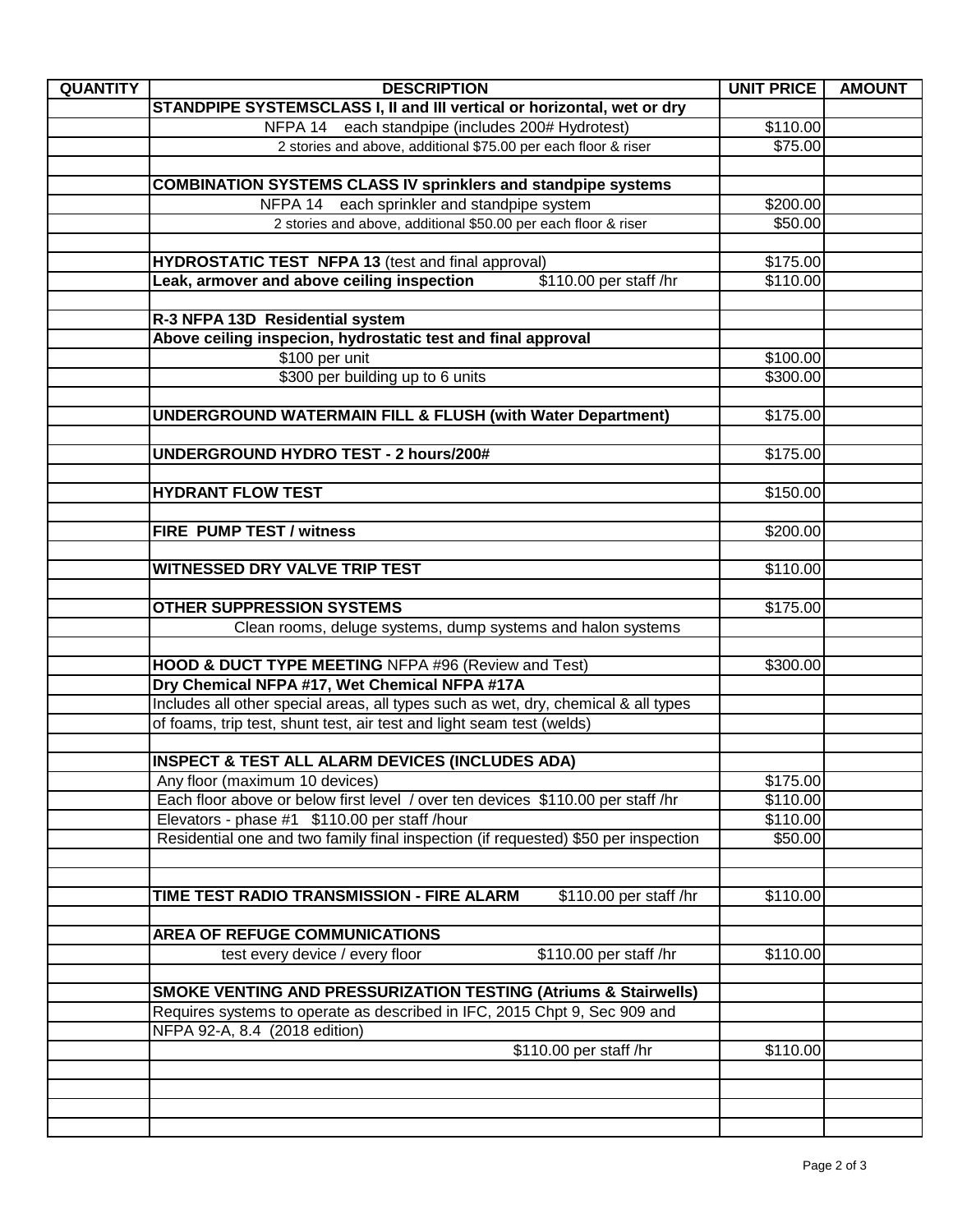| <b>QUANTITY</b> | <b>DESCRIPTION</b>                                                                 | <b>UNIT PRICE</b> | <b>AMOUNT</b> |
|-----------------|------------------------------------------------------------------------------------|-------------------|---------------|
|                 | STANDPIPE SYSTEMSCLASS I, II and III vertical or horizontal, wet or dry            |                   |               |
|                 | NFPA 14 each standpipe (includes 200# Hydrotest)                                   | \$110.00          |               |
|                 | 2 stories and above, additional \$75.00 per each floor & riser                     | \$75.00           |               |
|                 |                                                                                    |                   |               |
|                 | <b>COMBINATION SYSTEMS CLASS IV sprinklers and standpipe systems</b>               |                   |               |
|                 | NFPA 14<br>each sprinkler and standpipe system                                     | \$200.00          |               |
|                 | 2 stories and above, additional \$50.00 per each floor & riser                     | \$50.00           |               |
|                 |                                                                                    |                   |               |
|                 | <b>HYDROSTATIC TEST NFPA 13 (test and final approval)</b>                          | \$175.00          |               |
|                 | Leak, armover and above ceiling inspection<br>\$110.00 per staff /hr               | \$110.00          |               |
|                 |                                                                                    |                   |               |
|                 | R-3 NFPA 13D Residential system                                                    |                   |               |
|                 | Above ceiling inspecion, hydrostatic test and final approval                       |                   |               |
|                 | \$100 per unit                                                                     | \$100.00          |               |
|                 | \$300 per building up to 6 units                                                   | \$300.00          |               |
|                 |                                                                                    |                   |               |
|                 | <b>UNDERGROUND WATERMAIN FILL &amp; FLUSH (with Water Department)</b>              | \$175.00          |               |
|                 |                                                                                    |                   |               |
|                 | UNDERGROUND HYDRO TEST - 2 hours/200#                                              | \$175.00          |               |
|                 |                                                                                    |                   |               |
|                 | <b>HYDRANT FLOW TEST</b>                                                           | \$150.00          |               |
|                 |                                                                                    |                   |               |
|                 | <b>FIRE PUMP TEST / witness</b>                                                    | \$200.00          |               |
|                 |                                                                                    |                   |               |
|                 | WITNESSED DRY VALVE TRIP TEST                                                      | \$110.00          |               |
|                 | <b>OTHER SUPPRESSION SYSTEMS</b>                                                   | \$175.00          |               |
|                 | Clean rooms, deluge systems, dump systems and halon systems                        |                   |               |
|                 |                                                                                    |                   |               |
|                 | <b>HOOD &amp; DUCT TYPE MEETING NFPA #96 (Review and Test)</b>                     | \$300.00          |               |
|                 | Dry Chemical NFPA #17, Wet Chemical NFPA #17A                                      |                   |               |
|                 | Includes all other special areas, all types such as wet, dry, chemical & all types |                   |               |
|                 | of foams, trip test, shunt test, air test and light seam test (welds)              |                   |               |
|                 |                                                                                    |                   |               |
|                 | <b>INSPECT &amp; TEST ALL ALARM DEVICES (INCLUDES ADA)</b>                         |                   |               |
|                 | Any floor (maximum 10 devices)                                                     | \$175.00          |               |
|                 | Each floor above or below first level / over ten devices \$110.00 per staff /hr    | \$110.00          |               |
|                 | Elevators - phase #1 \$110.00 per staff /hour                                      | \$110.00          |               |
|                 | Residential one and two family final inspection (if requested) \$50 per inspection | \$50.00           |               |
|                 |                                                                                    |                   |               |
|                 |                                                                                    |                   |               |
|                 | TIME TEST RADIO TRANSMISSION - FIRE ALARM<br>\$110.00 per staff /hr                | \$110.00          |               |
|                 |                                                                                    |                   |               |
|                 | <b>AREA OF REFUGE COMMUNICATIONS</b>                                               |                   |               |
|                 | \$110.00 per staff /hr<br>test every device / every floor                          | \$110.00          |               |
|                 |                                                                                    |                   |               |
|                 | <b>SMOKE VENTING AND PRESSURIZATION TESTING (Atriums &amp; Stairwells)</b>         |                   |               |
|                 | Requires systems to operate as described in IFC, 2015 Chpt 9, Sec 909 and          |                   |               |
|                 | NFPA 92-A, 8.4 (2018 edition)                                                      |                   |               |
|                 | \$110.00 per staff /hr                                                             | \$110.00          |               |
|                 |                                                                                    |                   |               |
|                 |                                                                                    |                   |               |
|                 |                                                                                    |                   |               |
|                 |                                                                                    |                   |               |